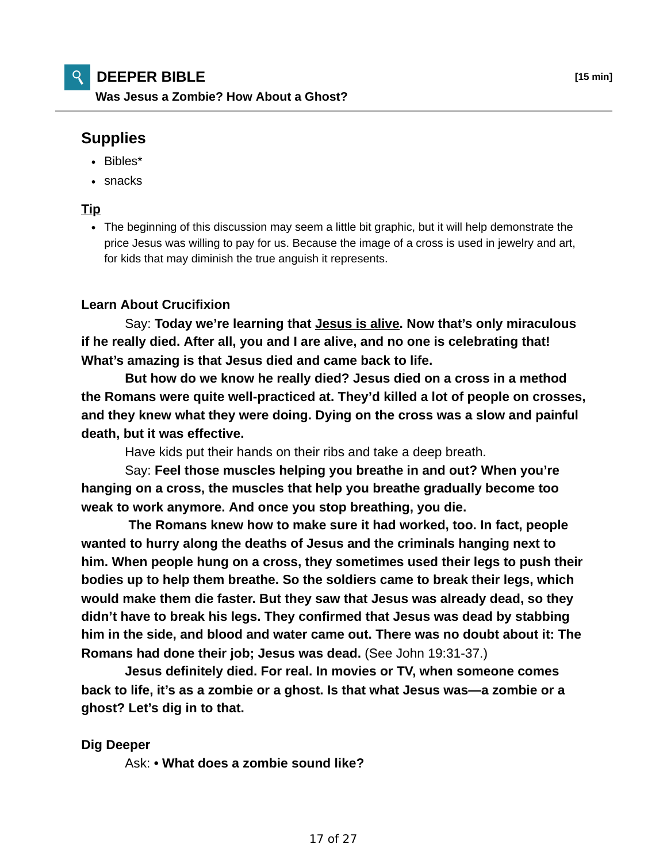# **Supplies**

- Bibles\*
- snacks

## **Tip**

The beginning of this discussion may seem a little bit graphic, but it will help demonstrate the price Jesus was willing to pay for us. Because the image of a cross is used in jewelry and art, for kids that may diminish the true anguish it represents.

### **Learn About Crucifixion**

 Say: **Today we're learning that Jesus is alive. Now that's only miraculous if he really died. After all, you and I are alive, and no one is celebrating that! What's amazing is that Jesus died and came back to life.**

 **But how do we know he really died? Jesus died on a cross in a method the Romans were quite well-practiced at. They'd killed a lot of people on crosses, and they knew what they were doing. Dying on the cross was a slow and painful death, but it was effective.**

Have kids put their hands on their ribs and take a deep breath.

 Say: **Feel those muscles helping you breathe in and out? When you're hanging on a cross, the muscles that help you breathe gradually become too weak to work anymore. And once you stop breathing, you die.**

**The Romans knew how to make sure it had worked, too. In fact, people wanted to hurry along the deaths of Jesus and the criminals hanging next to him. When people hung on a cross, they sometimes used their legs to push their bodies up to help them breathe. So the soldiers came to break their legs, which would make them die faster. But they saw that Jesus was already dead, so they didn't have to break his legs. They confirmed that Jesus was dead by stabbing him in the side, and blood and water came out. There was no doubt about it: The Romans had done their job; Jesus was dead.** (See John 19:31-37.)

**Jesus definitely died. For real. In movies or TV, when someone comes back to life, it's as a zombie or a ghost. Is that what Jesus was—a zombie or a ghost? Let's dig in to that.**

#### **Dig Deeper**

Ask: **• What does a zombie sound like?**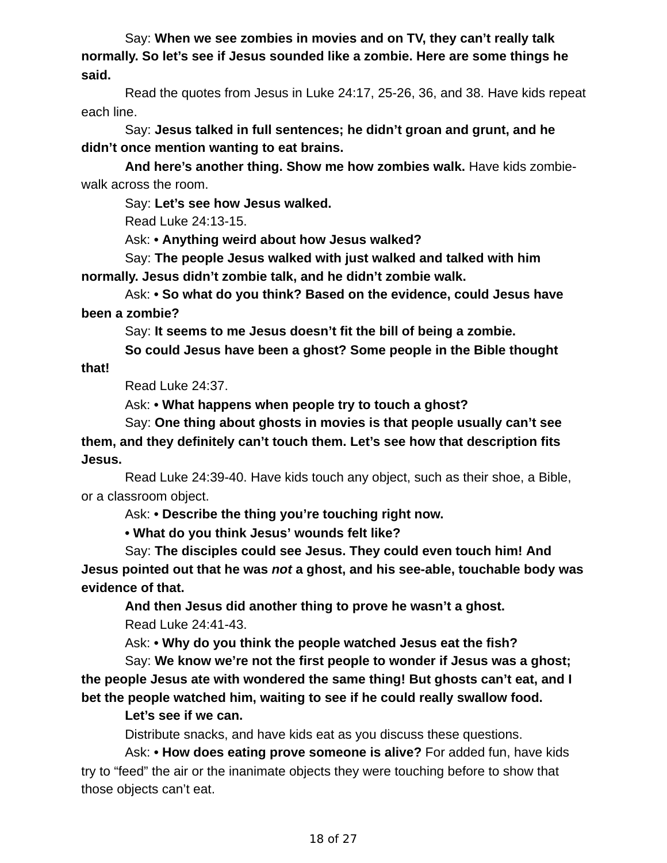Say: **When we see zombies in movies and on TV, they can't really talk normally. So let's see if Jesus sounded like a zombie. Here are some things he said.**

 Read the quotes from Jesus in Luke 24:17, 25-26, 36, and 38. Have kids repeat each line.

 Say: **Jesus talked in full sentences; he didn't groan and grunt, and he didn't once mention wanting to eat brains.**

 **And here's another thing. Show me how zombies walk.** Have kids zombiewalk across the room.

Say: **Let's see how Jesus walked.**

Read Luke 24:13-15.

Ask: **• Anything weird about how Jesus walked?**

 Say: **The people Jesus walked with just walked and talked with him normally. Jesus didn't zombie talk, and he didn't zombie walk.**

 Ask: **• So what do you think? Based on the evidence, could Jesus have been a zombie?**

Say: **It seems to me Jesus doesn't fit the bill of being a zombie.**

 **So could Jesus have been a ghost? Some people in the Bible thought**

**that!**

Read Luke 24:37.

Ask: **• What happens when people try to touch a ghost?**

 Say: **One thing about ghosts in movies is that people usually can't see them, and they definitely can't touch them. Let's see how that description fits Jesus.**

 Read Luke 24:39-40. Have kids touch any object, such as their shoe, a Bible, or a classroom object.

Ask: **• Describe the thing you're touching right now.**

 **• What do you think Jesus' wounds felt like?**

 Say: **The disciples could see Jesus. They could even touch him! And Jesus pointed out that he was** *not* **a ghost, and his see-able, touchable body was evidence of that.**

 **And then Jesus did another thing to prove he wasn't a ghost.** Read Luke 24:41-43.

Ask: **• Why do you think the people watched Jesus eat the fish?**

 Say: **We know we're not the first people to wonder if Jesus was a ghost; the people Jesus ate with wondered the same thing! But ghosts can't eat, and I bet the people watched him, waiting to see if he could really swallow food.**

## **Let's see if we can.**

Distribute snacks, and have kids eat as you discuss these questions.

 Ask: **• How does eating prove someone is alive?** For added fun, have kids try to "feed" the air or the inanimate objects they were touching before to show that those objects can't eat.